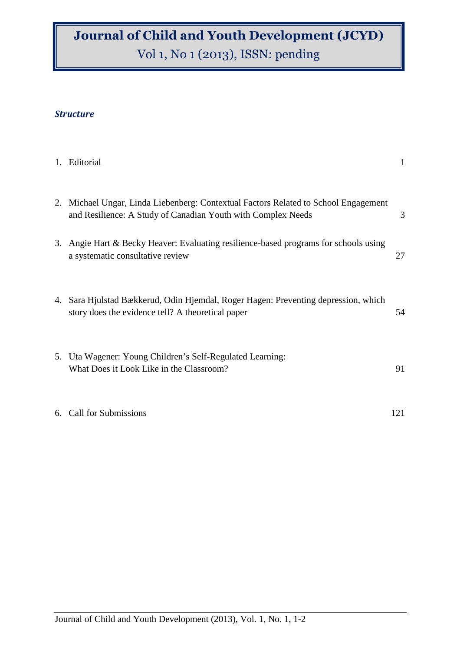## Journal of Child and Youth Development (JCYD) Vol 1, No 1 (2013), ISSN: pending

## **Structure**

| 1. Editorial                                                                                                                                        | 1   |
|-----------------------------------------------------------------------------------------------------------------------------------------------------|-----|
| 2. Michael Ungar, Linda Liebenberg: Contextual Factors Related to School Engagement<br>and Resilience: A Study of Canadian Youth with Complex Needs | 3   |
| 3. Angie Hart & Becky Heaver: Evaluating resilience-based programs for schools using<br>a systematic consultative review                            | 27  |
| 4. Sara Hjulstad Bækkerud, Odin Hjemdal, Roger Hagen: Preventing depression, which<br>story does the evidence tell? A theoretical paper             | 54  |
| 5. Uta Wagener: Young Children's Self-Regulated Learning:<br>What Does it Look Like in the Classroom?                                               | 91  |
| 6. Call for Submissions                                                                                                                             | 121 |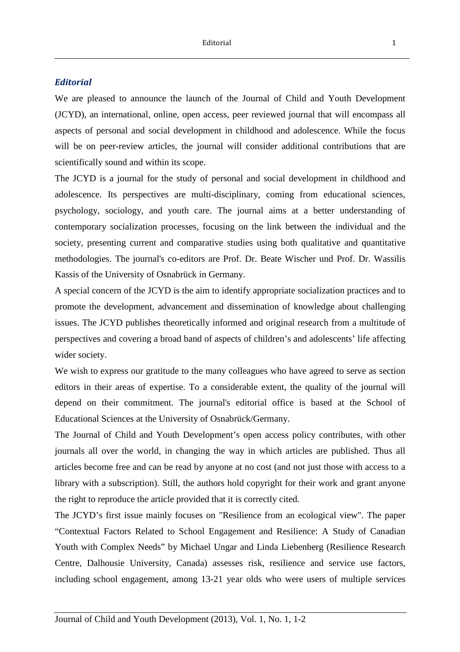## **Editorial**

We are pleased to announce the launch of the Journal of Child and Youth Development (JCYD), an international, online, open access, peer reviewed journal that will encompass all aspects of personal and social development in childhood and adolescence. While the focus will be on peer-review articles, the journal will consider additional contributions that are scientifically sound and within its scope.

The JCYD is a journal for the study of personal and social development in childhood and adolescence. Its perspectives are multi-disciplinary, coming from educational sciences, psychology, sociology, and youth care. The journal aims at a better understanding of contemporary socialization processes, focusing on the link between the individual and the society, presenting current and comparative studies using both qualitative and quantitative methodologies. The journal's co-editors are Prof. Dr. Beate Wischer und Prof. Dr. Wassilis Kassis of the University of Osnabrück in Germany.

A special concern of the JCYD is the aim to identify appropriate socialization practices and to promote the development, advancement and dissemination of knowledge about challenging issues. The JCYD publishes theoretically informed and original research from a multitude of perspectives and covering a broad band of aspects of children's and adolescents' life affecting wider society.

We wish to express our gratitude to the many colleagues who have agreed to serve as section editors in their areas of expertise. To a considerable extent, the quality of the journal will depend on their commitment. The journal's editorial office is based at the School of Educational Sciences at the University of Osnabrück/Germany.

The Journal of Child and Youth Development's open access policy contributes, with other journals all over the world, in changing the way in which articles are published. Thus all articles become free and can be read by anyone at no cost (and not just those with access to a library with a subscription). Still, the authors hold copyright for their work and grant anyone the right to reproduce the article provided that it is correctly cited.

The JCYD's first issue mainly focuses on "Resilience from an ecological view". The paper "Contextual Factors Related to School Engagement and Resilience: A Study of Canadian Youth with Complex Needs" by Michael Ungar and Linda Liebenberg (Resilience Research Centre, Dalhousie University, Canada) assesses risk, resilience and service use factors, including school engagement, among 13-21 year olds who were users of multiple services